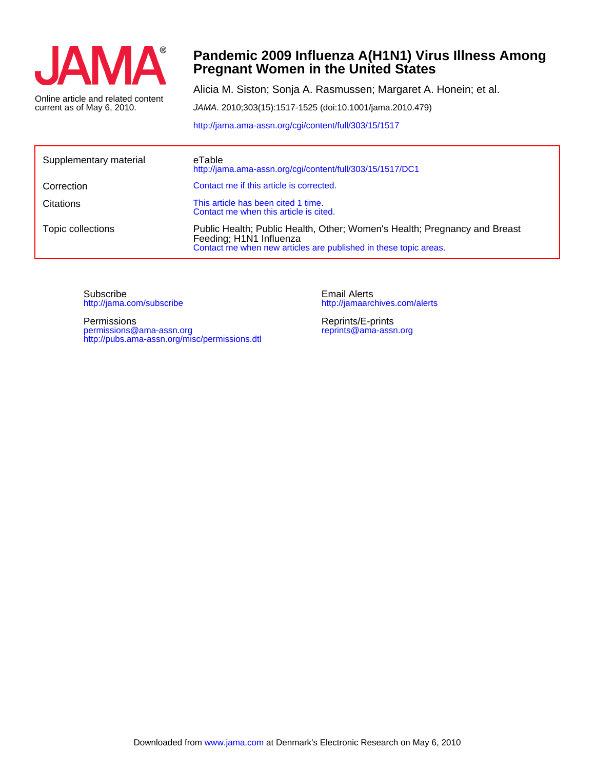

current as of May 6, 2010. Online article and related content

## **Pregnant Women in the United States Pandemic 2009 Influenza A(H1N1) Virus Illness Among**

Alicia M. Siston; Sonja A. Rasmussen; Margaret A. Honein; et al.

JAMA. 2010;303(15):1517-1525 (doi:10.1001/jama.2010.479)

<http://jama.ama-assn.org/cgi/content/full/303/15/1517>

| Supplementary material | eTable<br>http://jama.ama-assn.org/cgi/content/full/303/15/1517/DC1                                                                                                      |
|------------------------|--------------------------------------------------------------------------------------------------------------------------------------------------------------------------|
| Correction             | Contact me if this article is corrected.                                                                                                                                 |
| Citations              | This article has been cited 1 time.<br>Contact me when this article is cited.                                                                                            |
| Topic collections      | Public Health; Public Health, Other; Women's Health; Pregnancy and Breast<br>Feeding; H1N1 Influenza<br>Contact me when new articles are published in these topic areas. |

<http://jama.com/subscribe> Subscribe

<http://pubs.ama-assn.org/misc/permissions.dtl> permissions@ama-assn.org Permissions

<http://jamaarchives.com/alerts> Email Alerts

[reprints@ama-assn.org](mailto:reprints@ama-assn.org) Reprints/E-prints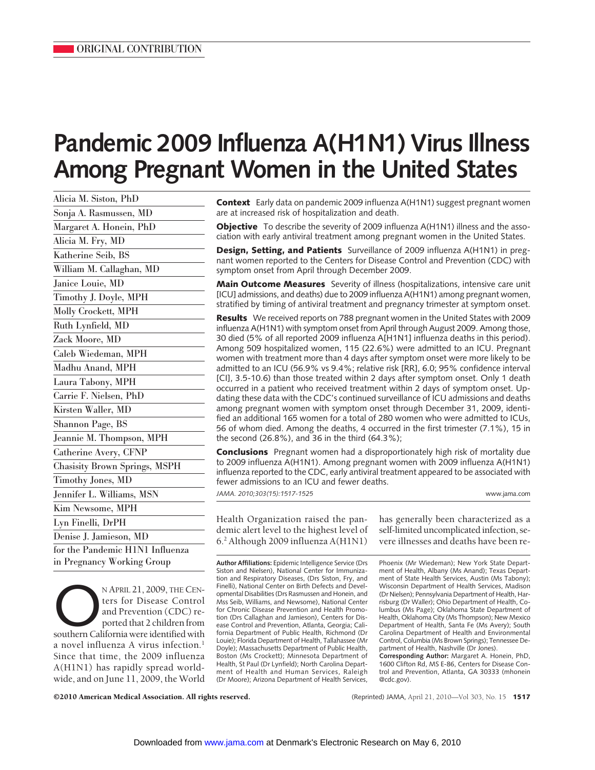# **Pandemic 2009 Influenza A(H1N1) Virus Illness Among Pregnant Women in the United States**

| Alicia M. Siston, PhD                |
|--------------------------------------|
| Sonja A. Rasmussen, MD               |
| Margaret A. Honein, PhD              |
| Alicia M. Fry, MD                    |
| Katherine Seib, BS                   |
| William M. Callaghan, MD             |
| Janice Louie, MD                     |
| Timothy J. Doyle, MPH                |
| Molly Crockett, MPH                  |
| Ruth Lynfield, MD                    |
| Zack Moore, MD                       |
| Caleb Wiedeman, MPH                  |
| Madhu Anand, MPH                     |
| Laura Tabony, MPH                    |
| Carrie F. Nielsen, PhD               |
| Kirsten Waller, MD                   |
| Shannon Page, BS                     |
| Jeannie M. Thompson, MPH             |
| Catherine Avery, CFNP                |
| <b>Chasisity Brown Springs, MSPH</b> |
| Timothy Jones, MD                    |
| Jennifer L. Williams, MSN            |
| Kim Newsome, MPH                     |
| Lyn Finelli, DrPH                    |
| Denise J. Jamieson, MD               |
| for the Pandemic H1N1 Influenza      |
| in Pregnancy Working Group           |

NAPRIL 21, 2009, THE CENters for Disease Control<br>and Prevention (CDC) re-<br>ported that 2 children from<br>southern California were identified with ters for Disease Control and Prevention (CDC) reported that 2 children from a novel influenza A virus infection.<sup>1</sup> Since that time, the 2009 influenza A(H1N1) has rapidly spread worldwide, and on June 11, 2009, the World

**Context** Early data on pandemic 2009 influenza A(H1N1) suggest pregnant women are at increased risk of hospitalization and death.

**Objective** To describe the severity of 2009 influenza A(H1N1) illness and the association with early antiviral treatment among pregnant women in the United States.

**Design, Setting, and Patients** Surveillance of 2009 influenza A(H1N1) in pregnant women reported to the Centers for Disease Control and Prevention (CDC) with symptom onset from April through December 2009.

**Main Outcome Measures** Severity of illness (hospitalizations, intensive care unit [ICU] admissions, and deaths) due to 2009 influenza A(H1N1) among pregnant women, stratified by timing of antiviral treatment and pregnancy trimester at symptom onset.

**Results** We received reports on 788 pregnant women in the United States with 2009 influenza A(H1N1) with symptom onset from April through August 2009. Among those, 30 died (5% of all reported 2009 influenza A[H1N1] influenza deaths in this period). Among 509 hospitalized women, 115 (22.6%) were admitted to an ICU. Pregnant women with treatment more than 4 days after symptom onset were more likely to be admitted to an ICU (56.9% vs 9.4%; relative risk [RR], 6.0; 95% confidence interval [CI], 3.5-10.6) than those treated within 2 days after symptom onset. Only 1 death occurred in a patient who received treatment within 2 days of symptom onset. Updating these data with the CDC's continued surveillance of ICU admissions and deaths among pregnant women with symptom onset through December 31, 2009, identified an additional 165 women for a total of 280 women who were admitted to ICUs, 56 of whom died. Among the deaths, 4 occurred in the first trimester (7.1%), 15 in the second (26.8%), and 36 in the third (64.3%);

**Conclusions** Pregnant women had a disproportionately high risk of mortality due to 2009 influenza A(H1N1). Among pregnant women with 2009 influenza A(H1N1) influenza reported to the CDC, early antiviral treatment appeared to be associated with fewer admissions to an ICU and fewer deaths.

*JAMA. 2010;303(15):1517-1525* www.jama.com

Health Organization raised the pandemic alert level to the highest level of 6.2 Although 2009 influenza A(H1N1)

**Author Affiliations:** Epidemic Intelligence Service (Drs Siston and Nielsen), National Center for Immunization and Respiratory Diseases, (Drs Siston, Fry, and Finelli), National Center on Birth Defects and Developmental Disabilities (Drs Rasmussen and Honein, and Mss Seib, Williams, and Newsome), National Center for Chronic Disease Prevention and Health Promotion (Drs Callaghan and Jamieson), Centers for Disease Control and Prevention, Atlanta, Georgia; California Department of Public Health, Richmond (Dr Louie); Florida Department of Health, Tallahassee (Mr Doyle); Massachusetts Department of Public Health, Boston (Ms Crockett); Minnesota Department of Health, St Paul (Dr Lynfield); North Carolina Department of Health and Human Services, Raleigh (Dr Moore); Arizona Department of Health Services,

has generally been characterized as a self-limited uncomplicated infection, severe illnesses and deaths have been re-

Phoenix (Mr Wiedeman); New York State Department of Health, Albany (Ms Anand); Texas Department of State Health Services, Austin (Ms Tabony); Wisconsin Department of Health Services, Madison (Dr Nielsen); Pennsylvania Department of Health, Harrisburg (Dr Waller); Ohio Department of Health, Columbus (Ms Page); Oklahoma State Department of Health, Oklahoma City (Ms Thompson); New Mexico Department of Health, Santa Fe (Ms Avery); South Carolina Department of Health and Environmental Control, Columbia (Ms Brown Springs); Tennessee Department of Health, Nashville (Dr Jones).

**Corresponding Author:** Margaret A. Honein, PhD, 1600 Clifton Rd, MS E-86, Centers for Disease Control and Prevention, Atlanta, GA 30333 (mhonein @cdc.gov).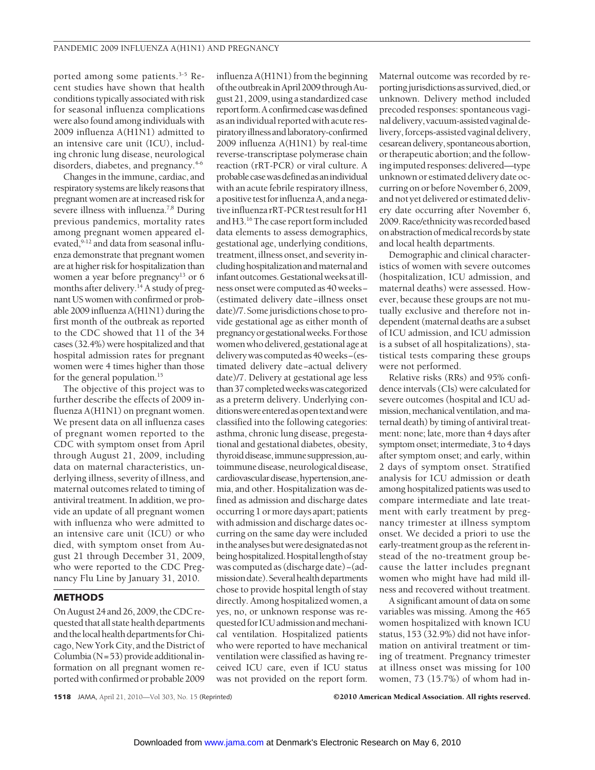ported among some patients.3-5 Recent studies have shown that health conditions typically associated with risk for seasonal influenza complications were also found among individuals with 2009 influenza A(H1N1) admitted to an intensive care unit (ICU), including chronic lung disease, neurological disorders, diabetes, and pregnancy.<sup>4-6</sup>

Changes in the immune, cardiac, and respiratory systems are likely reasons that pregnant women are at increased risk for severe illness with influenza.<sup>7,8</sup> During previous pandemics, mortality rates among pregnant women appeared elevated, 9-12 and data from seasonal influenza demonstrate that pregnant women are at higher risk for hospitalization than women a year before pregnancy<sup>13</sup> or 6 months after delivery.<sup>14</sup> A study of pregnant US women with confirmed or probable 2009 influenza A(H1N1) during the first month of the outbreak as reported to the CDC showed that 11 of the 34 cases (32.4%) were hospitalized and that hospital admission rates for pregnant women were 4 times higher than those for the general population.<sup>15</sup>

The objective of this project was to further describe the effects of 2009 influenza A(H1N1) on pregnant women. We present data on all influenza cases of pregnant women reported to the CDC with symptom onset from April through August 21, 2009, including data on maternal characteristics, underlying illness, severity of illness, and maternal outcomes related to timing of antiviral treatment. In addition, we provide an update of all pregnant women with influenza who were admitted to an intensive care unit (ICU) or who died, with symptom onset from August 21 through December 31, 2009, who were reported to the CDC Pregnancy Flu Line by January 31, 2010.

#### **METHODS**

On August 24 and 26, 2009, the CDC requested that all state health departments and the local health departments for Chicago, New York City, and the District of Columbia ( $N=53$ ) provide additional information on all pregnant women reported with confirmed or probable 2009

influenza A(H1N1) from the beginning of the outbreak in April 2009 through August 21, 2009, using a standardized case report form. A confirmed case was defined as an individual reported with acute respiratoryillnessandlaboratory-confirmed 2009 influenza A(H1N1) by real-time reverse-transcriptase polymerase chain reaction (rRT-PCR) or viral culture. A probablecasewasdefinedasanindividual with an acute febrile respiratory illness, a positive test for influenza A, and a negative influenza rRT-PCR test result for H1 and H3.<sup>16</sup> The case report form included data elements to assess demographics, gestational age, underlying conditions, treatment, illness onset, and severity includinghospitalizationandmaternaland infantoutcomes.Gestationalweeksatillness onset were computed as 40 weeks− (estimated delivery date−illness onset date)/7. Some jurisdictions chose to provide gestational age as either month of pregnancyorgestationalweeks.Forthose women who delivered, gestational age at deliverywascomputedas40weeks−(estimated delivery date−actual delivery date)/7. Delivery at gestational age less than37completedweekswascategorized as a preterm delivery. Underlying conditions were entered as open text and were classified into the following categories: asthma, chronic lung disease, pregestational and gestational diabetes, obesity, thyroiddisease,immunesuppression,autoimmune disease, neurological disease, cardiovasculardisease,hypertension,anemia, and other. Hospitalization was defined as admission and discharge dates occurring 1 or more days apart; patients with admission and discharge dates occurring on the same day were included in the analyses but were designated as not being hospitalized. Hospital length of stay was computed as (discharge date)−(admission date). Several health departments chose to provide hospital length of stay directly. Among hospitalized women, a yes, no, or unknown response was requested for ICU admission and mechanical ventilation. Hospitalized patients who were reported to have mechanical ventilation were classified as having received ICU care, even if ICU status was not provided on the report form.

Maternal outcome was recorded by reportingjurisdictionsassurvived,died,or unknown. Delivery method included precoded responses: spontaneous vaginal delivery, vacuum-assisted vaginal delivery, forceps-assisted vaginal delivery, cesareandelivery,spontaneousabortion, or therapeutic abortion; and the following imputed responses: delivered—type unknown or estimated delivery date occurring on or before November 6, 2009, and not yet delivered or estimated delivery date occurring after November 6, 2009. Race/ethnicity was recorded based on abstraction of medical records by state and local health departments.

Demographic and clinical characteristics of women with severe outcomes (hospitalization, ICU admission, and maternal deaths) were assessed. However, because these groups are not mutually exclusive and therefore not independent (maternal deaths are a subset of ICU admission, and ICU admission is a subset of all hospitalizations), statistical tests comparing these groups were not performed.

Relative risks (RRs) and 95% confidence intervals (CIs) were calculated for severe outcomes (hospital and ICU admission, mechanical ventilation, and maternal death) by timing of antiviral treatment: none; late, more than 4 days after symptom onset; intermediate, 3 to 4 days after symptom onset; and early, within 2 days of symptom onset. Stratified analysis for ICU admission or death among hospitalized patients was used to compare intermediate and late treatment with early treatment by pregnancy trimester at illness symptom onset. We decided a priori to use the early-treatment group as the referent instead of the no-treatment group because the latter includes pregnant women who might have had mild illness and recovered without treatment.

A significant amount of data on some variables was missing. Among the 465 women hospitalized with known ICU status, 153 (32.9%) did not have information on antiviral treatment or timing of treatment. Pregnancy trimester at illness onset was missing for 100 women, 73 (15.7%) of whom had in-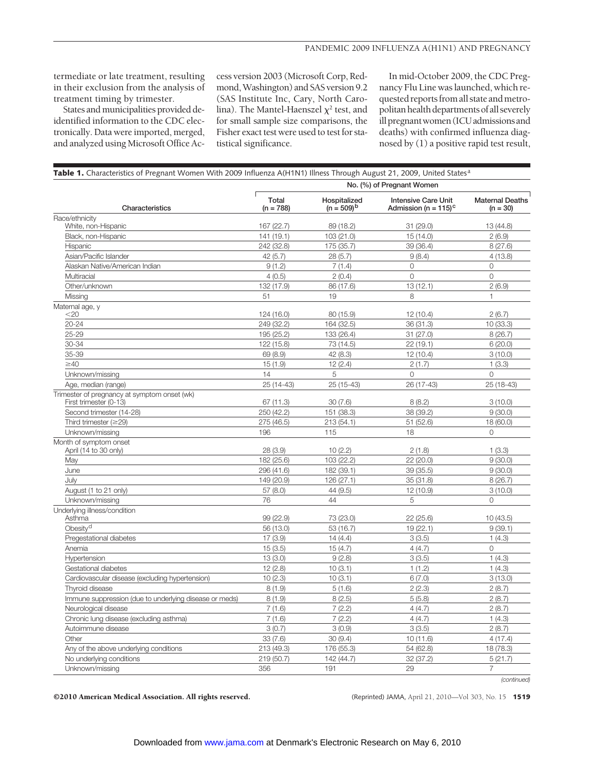termediate or late treatment, resulting in their exclusion from the analysis of treatment timing by trimester.

States and municipalities provided deidentified information to the CDC electronically. Data were imported, merged, and analyzed using Microsoft Office Access version 2003 (Microsoft Corp, Redmond, Washington) and SAS version 9.2 (SAS Institute Inc, Cary, North Carolina). The Mantel-Haenszel  $\chi^2$  test, and for small sample size comparisons, the Fisher exact test were used to test for statistical significance.

In mid-October 2009, the CDC Pregnancy Flu Line was launched, which requested reports from all state and metropolitan health departments of all severely ill pregnant women (ICU admissions and deaths) with confirmed influenza diagnosed by (1) a positive rapid test result,

|                                                                 | Table 1. Characteristics of Pregnant Women With 2009 Influenza A(H1N1) Illness Through August 21, 2009, United States <sup>a</sup><br>No. (%) of Pregnant Women |                                 |                                                                   |                                      |  |  |
|-----------------------------------------------------------------|-----------------------------------------------------------------------------------------------------------------------------------------------------------------|---------------------------------|-------------------------------------------------------------------|--------------------------------------|--|--|
| Characteristics                                                 | Total<br>$(n = 788)$                                                                                                                                            | Hospitalized<br>$(n = 509)^{b}$ | <b>Intensive Care Unit</b><br>Admission (n = $115$ ) <sup>c</sup> | <b>Maternal Deaths</b><br>$(n = 30)$ |  |  |
| Race/ethnicity                                                  |                                                                                                                                                                 |                                 |                                                                   |                                      |  |  |
| White, non-Hispanic                                             | 167 (22.7)                                                                                                                                                      | 89 (18.2)                       | 31(29.0)                                                          | 13 (44.8)                            |  |  |
| Black, non-Hispanic                                             | 141 (19.1)                                                                                                                                                      | 103(21.0)                       | 15 (14.0)                                                         | 2(6.9)                               |  |  |
| Hispanic                                                        | 242 (32.8)                                                                                                                                                      | 175 (35.7)                      | 39 (36.4)                                                         | 8(27.6)                              |  |  |
| Asian/Pacific Islander                                          | 42(5.7)                                                                                                                                                         | 28(5.7)                         | 9(8.4)                                                            | 4(13.8)                              |  |  |
| Alaskan Native/American Indian                                  | 9(1.2)                                                                                                                                                          | 7(1.4)                          | 0                                                                 | $\circ$                              |  |  |
| Multiracial                                                     | 4(0.5)                                                                                                                                                          | 2(0.4)                          | $\circ$                                                           | $\mathsf{O}\xspace$                  |  |  |
| Other/unknown                                                   | 132 (17.9)                                                                                                                                                      | 86 (17.6)                       | 13(12.1)                                                          | 2(6.9)                               |  |  |
| Missing                                                         | 51                                                                                                                                                              | 19                              | 8                                                                 | $\mathbf{1}$                         |  |  |
| Maternal age, y<br>$<$ 20                                       | 124 (16.0)                                                                                                                                                      | 80 (15.9)                       | 12(10.4)                                                          | 2(6.7)                               |  |  |
| $20 - 24$                                                       | 249 (32.2)                                                                                                                                                      | 164 (32.5)                      | 36 (31.3)                                                         | 10(33.3)                             |  |  |
| 25-29                                                           | 195 (25.2)                                                                                                                                                      | 133 (26.4)                      | 31(27.0)                                                          | 8(26.7)                              |  |  |
| 30-34                                                           | 122 (15.8)                                                                                                                                                      | 73 (14.5)                       | 22(19.1)                                                          | 6(20.0)                              |  |  |
| 35-39                                                           | 69 (8.9)                                                                                                                                                        | 42 (8.3)                        | 12(10.4)                                                          | 3(10.0)                              |  |  |
| $\geq 40$                                                       | 15(1.9)                                                                                                                                                         | 12(2.4)                         | 2(1.7)                                                            | 1(3.3)                               |  |  |
| Unknown/missing                                                 | 14                                                                                                                                                              | 5                               | 0                                                                 | 0                                    |  |  |
| Age, median (range)                                             | 25 (14-43)                                                                                                                                                      | 25 (15-43)                      | 26 (17-43)                                                        | 25 (18-43)                           |  |  |
| Trimester of pregnancy at symptom onset (wk)                    |                                                                                                                                                                 |                                 |                                                                   |                                      |  |  |
| First trimester (0-13)                                          | 67 (11.3)                                                                                                                                                       | 30(7.6)                         | 8(8.2)                                                            | 3(10.0)                              |  |  |
| Second trimester (14-28)                                        | 250 (42.2)                                                                                                                                                      | 151 (38.3)                      | 38 (39.2)                                                         | 9(30.0)                              |  |  |
| Third trimester $(\geq 29)$                                     | 275 (46.5)                                                                                                                                                      | 213(54.1)                       | 51(52.6)                                                          | 18 (60.0)                            |  |  |
| Unknown/missing                                                 | 196                                                                                                                                                             | 115                             | 18                                                                | 0                                    |  |  |
| Month of symptom onset                                          |                                                                                                                                                                 |                                 |                                                                   |                                      |  |  |
| April (14 to 30 only)                                           | 28 (3.9)                                                                                                                                                        | 10(2.2)                         | 2(1.8)                                                            | 1(3.3)                               |  |  |
| May                                                             | 182 (25.6)                                                                                                                                                      | 103 (22.2)                      | 22 (20.0)                                                         | 9(30.0)                              |  |  |
| June                                                            | 296 (41.6)                                                                                                                                                      | 182 (39.1)                      | 39 (35.5)                                                         | 9(30.0)                              |  |  |
| July                                                            | 149 (20.9)                                                                                                                                                      | 126(27.1)                       | 35 (31.8)                                                         | 8(26.7)                              |  |  |
| August (1 to 21 only)                                           | 57(8.0)                                                                                                                                                         | 44 (9.5)                        | 12 (10.9)                                                         | 3(10.0)                              |  |  |
| Unknown/missing                                                 | 76                                                                                                                                                              | 44                              | 5                                                                 | 0                                    |  |  |
| Underlying illness/condition<br>Asthma                          | 99 (22.9)                                                                                                                                                       | 73 (23.0)                       | 22(25.6)                                                          | 10 (43.5)                            |  |  |
| Obesity <sup>d</sup>                                            | 56 (13.0)                                                                                                                                                       | 53 (16.7)                       | 19(22.1)                                                          | 9(39.1)                              |  |  |
| Pregestational diabetes                                         | 17(3.9)                                                                                                                                                         | 14(4.4)                         | 3(3.5)                                                            | 1(4.3)                               |  |  |
| Anemia                                                          | 15(3.5)                                                                                                                                                         | 15(4.7)                         | 4(4.7)                                                            | $\circ$                              |  |  |
| Hypertension                                                    | 13(3.0)                                                                                                                                                         | 9(2.8)                          | 3(3.5)                                                            | 1(4.3)                               |  |  |
| Gestational diabetes                                            | 12(2.8)                                                                                                                                                         | 10(3.1)                         | 1(1.2)                                                            | 1(4.3)                               |  |  |
| Cardiovascular disease (excluding hypertension)                 | 10(2.3)                                                                                                                                                         | 10(3.1)                         | 6(7.0)                                                            | 3(13.0)                              |  |  |
| Thyroid disease                                                 | 8(1.9)                                                                                                                                                          | 5(1.6)                          | 2(2.3)                                                            | 2(8.7)                               |  |  |
| Immune suppression (due to underlying disease or meds)          | 8(1.9)                                                                                                                                                          | 8(2.5)                          | 5(5.8)                                                            | 2(8.7)                               |  |  |
|                                                                 | 7(1.6)                                                                                                                                                          |                                 |                                                                   | 2(8.7)                               |  |  |
| Neurological disease<br>Chronic lung disease (excluding asthma) | 7(1.6)                                                                                                                                                          | 7(2.2)<br>7(2.2)                | 4(4.7)<br>4(4.7)                                                  | 1(4.3)                               |  |  |
| Autoimmune disease                                              | 3(0.7)                                                                                                                                                          | 3(0.9)                          | 3(3.5)                                                            | 2(8.7)                               |  |  |
| Other                                                           | 33 (7.6)                                                                                                                                                        | 30(9.4)                         | 10(11.6)                                                          | 4(17.4)                              |  |  |
| Any of the above underlying conditions                          | 213 (49.3)                                                                                                                                                      | 176 (55.3)                      | 54 (62.8)                                                         | 18 (78.3)                            |  |  |
| No underlying conditions                                        | 219 (50.7)                                                                                                                                                      | 142 (44.7)                      | 32 (37.2)                                                         | 5(21.7)                              |  |  |
| Unknown/missing                                                 | 356                                                                                                                                                             | 191                             | 29                                                                | $\overline{7}$                       |  |  |
|                                                                 |                                                                                                                                                                 |                                 |                                                                   | (continued)                          |  |  |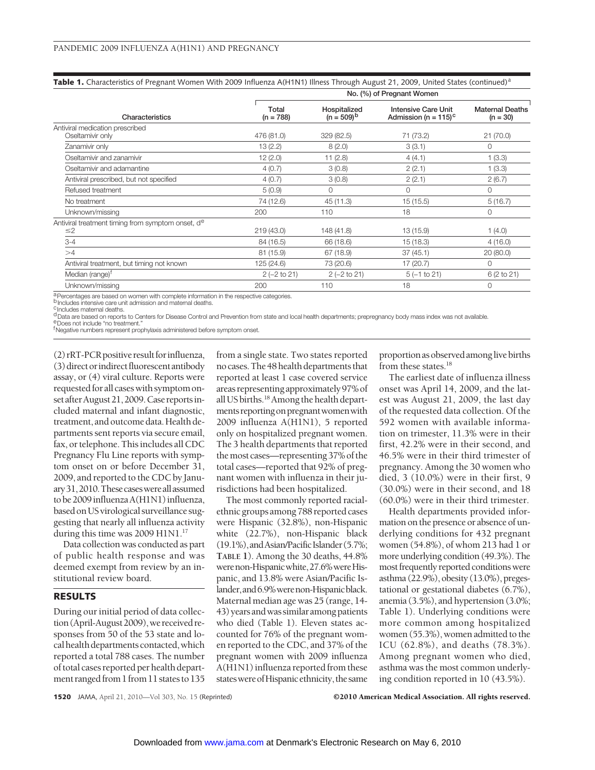|  | Table 1. Characteristics of Pregnant Women With 2009 Influenza A(H1N1) Illness Through August 21, 2009, United States (continued) <sup>a</sup> |
|--|------------------------------------------------------------------------------------------------------------------------------------------------|
|--|------------------------------------------------------------------------------------------------------------------------------------------------|

|                                                   | No. (%) of Pregnant Women |                                 |                                                                   |                                      |  |  |
|---------------------------------------------------|---------------------------|---------------------------------|-------------------------------------------------------------------|--------------------------------------|--|--|
| Characteristics                                   | Total<br>$(n = 788)$      | Hospitalized<br>$(n = 509)^{b}$ | <b>Intensive Care Unit</b><br>Admission (n = $115$ ) <sup>c</sup> | <b>Maternal Deaths</b><br>$(n = 30)$ |  |  |
| Antiviral medication prescribed                   |                           |                                 |                                                                   |                                      |  |  |
| Oseltamivir only                                  | 476 (81.0)                | 329 (82.5)                      | 71 (73.2)                                                         | 21(70.0)                             |  |  |
| Zanamivir only                                    | 13(2.2)                   | 8(2.0)                          | 3(3.1)                                                            | 0                                    |  |  |
| Oseltamivir and zanamivir                         | 12(2.0)                   | 11(2.8)                         | 4(4.1)                                                            | 1(3.3)                               |  |  |
| Oseltamivir and adamantine                        | 4(0.7)                    | 3(0.8)                          | 2(2.1)                                                            | 1(3.3)                               |  |  |
| Antiviral prescribed, but not specified           | 4(0.7)                    | 3(0.8)                          | 2(2.1)                                                            | 2(6.7)                               |  |  |
| Refused treatment                                 | 5(0.9)                    | $\Omega$                        | $\Omega$                                                          | $\circ$                              |  |  |
| No treatment                                      | 74 (12.6)                 | 45 (11.3)                       | 15 (15.5)                                                         | 5(16.7)                              |  |  |
| Unknown/missing                                   | 200                       | 110                             | 18                                                                | 0                                    |  |  |
| Antiviral treatment timing from symptom onset, de |                           |                                 |                                                                   |                                      |  |  |
| $\leq$ 2                                          | 219(43.0)                 | 148 (41.8)                      | 13 (15.9)                                                         | 1(4.0)                               |  |  |
| $3 - 4$                                           | 84 (16.5)                 | 66 (18.6)                       | 15(18.3)                                                          | 4(16.0)                              |  |  |
| >4                                                | 81 (15.9)                 | 67 (18.9)                       | 37(45.1)                                                          | 20(80.0)                             |  |  |
| Antiviral treatment, but timing not known         | 125 (24.6)                | 73 (20.6)                       | 17 (20.7)                                                         | 0                                    |  |  |
| Median (range) <sup>†</sup>                       | $2(-2 to 21)$             | $2 (-2 to 21)$                  | $5(-1 to 21)$                                                     | 6 (2 to 21)                          |  |  |
| Unknown/missing                                   | 200                       | 110                             | 18                                                                | $\circ$                              |  |  |
|                                                   |                           |                                 |                                                                   |                                      |  |  |

a Percentages are based on women with complete information in the respective categories.

b Includes intensive care unit admission and maternal deaths.

<sup>C</sup>Includes maternal deaths.

dData are based on reports to Centers for Disease Control and Prevention from state and local health departments; prepregnancy body mass index was not available.<br>EDoes not include "no treatment."

f Negative numbers represent prophylaxis administered before symptom onset.

(2) rRT-PCR positive result for influenza, (3) direct or indirect fluorescent antibody assay, or (4) viral culture. Reports were requested for all cases with symptom onset after August 21, 2009. Case reports included maternal and infant diagnostic, treatment, and outcome data. Health departments sent reports via secure email, fax, or telephone. This includes all CDC Pregnancy Flu Line reports with symptom onset on or before December 31, 2009, and reported to the CDC by January31,2010.Thesecaseswereallassumed to be 2009 influenza A(H1N1) influenza, based on US virological surveillance suggesting that nearly all influenza activity during this time was 2009 H1N1.<sup>17</sup>

Data collection was conducted as part of public health response and was deemed exempt from review by an institutional review board.

#### **RESULTS**

During our initial period of data collection (April-August 2009), we received responses from 50 of the 53 state and local health departments contacted, which reported a total 788 cases. The number of total cases reported per health department ranged from 1 from 11 states to 135 from a single state. Two states reported no cases. The 48 health departments that reported at least 1 case covered service areas representing approximately 97% of all US births.<sup>18</sup> Among the health departments reporting on pregnant women with 2009 influenza A(H1N1), 5 reported only on hospitalized pregnant women. The 3 health departments that reported the most cases—representing 37% of the total cases—reported that 92% of pregnant women with influenza in their jurisdictions had been hospitalized.

The most commonly reported racialethnic groups among 788 reported cases were Hispanic (32.8%), non-Hispanic white (22.7%), non-Hispanic black (19.1%), and Asian/Pacific Islander (5.7%; **TABLE 1**). Among the 30 deaths, 44.8% were non-Hispanic white, 27.6% were Hispanic, and 13.8% were Asian/Pacific Islander,and6.9%werenon-Hispanicblack. Maternal median age was 25 (range, 14- 43)yearsandwassimilaramongpatients who died (Table 1). Eleven states accounted for 76% of the pregnant women reported to the CDC, and 37% of the pregnant women with 2009 influenza A(H1N1) influenza reported from these states were of Hispanic ethnicity, the same

proportion as observed among live births from these states.<sup>18</sup>

The earliest date of influenza illness onset was April 14, 2009, and the latest was August 21, 2009, the last day of the requested data collection. Of the 592 women with available information on trimester, 11.3% were in their first, 42.2% were in their second, and 46.5% were in their third trimester of pregnancy. Among the 30 women who died, 3 (10.0%) were in their first, 9 (30.0%) were in their second, and 18 (60.0%) were in their third trimester.

Health departments provided information on the presence or absence of underlying conditions for 432 pregnant women (54.8%), of whom 213 had 1 or more underlying condition (49.3%). The most frequently reported conditions were asthma (22.9%), obesity (13.0%), pregestational or gestational diabetes (6.7%), anemia (3.5%), and hypertension (3.0%; Table 1). Underlying conditions were more common among hospitalized women (55.3%), women admitted to the ICU (62.8%), and deaths (78.3%). Among pregnant women who died, asthma was the most common underlying condition reported in 10 (43.5%).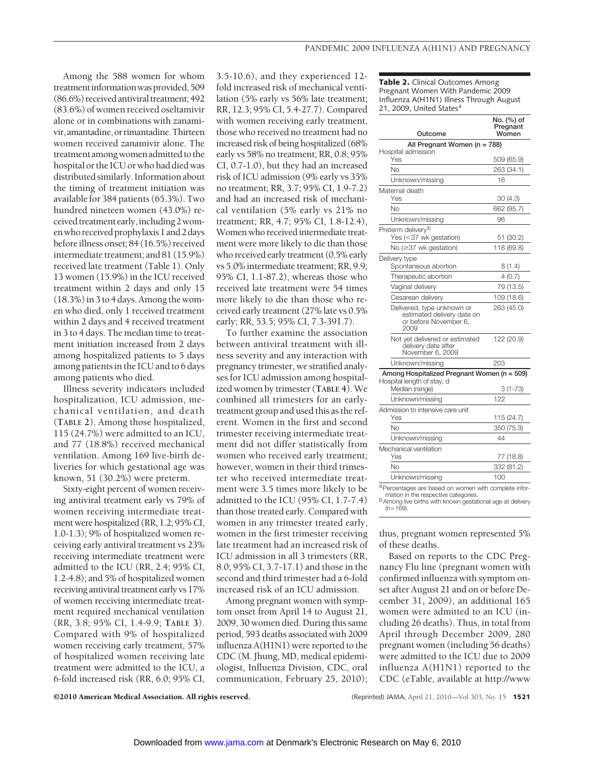Among the 588 women for whom treatmentinformationwasprovided,509 (86.6%) received antiviral treatment; 492 (83.6%) of women received oseltamivir alone or in combinations with zanamivir,amantadine,orrimantadine.Thirteen women received zanamivir alone. The treatment among women admitted to the hospital or the ICU or who had died was distributed similarly. Information about the timing of treatment initiation was available for 384 patients (65.3%). Two hundred nineteen women (43.0%) received treatment early, including 2 womenwhoreceivedprophylaxis1and2days before illness onset; 84 (16.5%) received intermediate treatment; and 81 (15.9%) received late treatment (Table 1). Only 13 women (15.9%) in the ICU received treatment within 2 days and only 15  $(18.3\%)$  in 3 to 4 days. Among the women who died, only 1 received treatment within 2 days and 4 received treatment in 3 to 4 days. The median time to treatment initiation increased from 2 days among hospitalized patients to 5 days among patients in the ICU and to 6 days among patients who died.

Illness severity indicators included hospitalization, ICU admission, mechanical ventilation, and death (**TABLE 2**). Among those hospitalized, 115 (24.7%) were admitted to an ICU, and 77 (18.8%) received mechanical ventilation. Among 169 live-birth deliveries for which gestational age was known, 51 (30.2%) were preterm.

Sixty-eight percent of women receiving antiviral treatment early vs 79% of women receiving intermediate treatment were hospitalized (RR, 1.2; 95% CI, 1.0-1.3); 9% of hospitalized women receiving early antiviral treatment vs 23% receiving intermediate treatment were admitted to the ICU (RR, 2.4; 95% CI, 1.2-4.8); and 5% of hospitalized women receiving antiviral treatment early vs 17% of women receiving intermediate treatment required mechanical ventilation (RR, 3.8; 95% CI, 1.4-9.9; **TABLE 3**). Compared with 9% of hospitalized women receiving early treatment, 57% of hospitalized women receiving late treatment were admitted to the ICU, a 6-fold increased risk (RR, 6.0; 95% CI,

3.5-10.6), and they experienced 12 fold increased risk of mechanical ventilation (5% early vs 56% late treatment; RR, 12.3; 95% CI, 5.4-27.7). Compared with women receiving early treatment, those who received no treatment had no increased risk of being hospitalized (68% early vs 58% no treatment; RR, 0.8; 95% CI, 0.7-1.0), but they had an increased risk of ICU admission (9% early vs 35% no treatment; RR, 3.7; 95% CI, 1.9-7.2) and had an increased risk of mechanical ventilation (5% early vs 21% no treatment; RR, 4.7; 95% CI, 1.8-12.4), Women who received intermediate treatment were more likely to die than those who received early treatment (0.5% early vs 5.0% intermediate treatment; RR, 9.9; 95% CI, 1.1-87.2), whereas those who received late treatment were 54 times more likely to die than those who received early treatment (27% late vs 0.5% early; RR, 53.5; 95% CI, 7.3-391.7).

To further examine the association between antiviral treatment with illness severity and any interaction with pregnancy trimester, we stratified analyses for ICU admission among hospitalized women by trimester (**TABLE 4**). We combined all trimesters for an earlytreatment group and used this as the referent. Women in the first and second trimester receiving intermediate treatment did not differ statistically from women who received early treatment; however, women in their third trimester who received intermediate treatment were 3.5 times more likely to be admitted to the ICU (95% CI, 1.7-7.4) than those treated early. Compared with women in any trimester treated early, women in the first trimester receiving late treatment had an increased risk of ICU admission in all 3 trimesters (RR, 8.0; 95% CI, 3.7-17.1) and those in the second and third trimester had a 6-fold increased risk of an ICU admission.

Among pregnant women with symptom onset from April 14 to August 21, 2009, 30 women died. During this same period, 593 deaths associated with 2009 influenza A(H1N1) were reported to the CDC (M. Jhung, MD, medical epidemiologist, Influenza Division, CDC, oral communication, February 25, 2010); **Table 2.** Clinical Outcomes Among Pregnant Women With Pandemic 2009 Influenza A(H1N1) Illness Through August 21, 2009, United States<sup>a</sup>

| Outcome                                                                                                                                                                      | No. (%) of<br>Pregnant<br>Women |
|------------------------------------------------------------------------------------------------------------------------------------------------------------------------------|---------------------------------|
| All Pregnant Women (n = 788)                                                                                                                                                 |                                 |
| Hospital admission<br>Yes                                                                                                                                                    | 509 (65.9)                      |
| Nο                                                                                                                                                                           | 263 (34.1)                      |
| Unknown/missing                                                                                                                                                              | 16                              |
| Maternal death                                                                                                                                                               |                                 |
| Yes                                                                                                                                                                          | 30 (4.3)                        |
| Nο                                                                                                                                                                           | 662 (95.7)                      |
| Unknown/missing                                                                                                                                                              | 96                              |
| Preterm delivery <sup>b</sup><br>Yes (<37 wk gestation)                                                                                                                      | 51 (30.2)                       |
| No (≥37 wk gestation)                                                                                                                                                        | 118 (69.8)                      |
| Delivery type<br>Spontaneous abortion                                                                                                                                        | 8(1.4)                          |
| Therapeutic abortion                                                                                                                                                         | 4(0.7)                          |
| Vaginal delivery                                                                                                                                                             | 79 (13.5)                       |
| Cesarean delivery                                                                                                                                                            | 109 (18.6)                      |
| Delivered, type unknown or<br>estimated delivery date on<br>or before November 6.<br>2009                                                                                    | 263 (45.0)                      |
| Not yet delivered or estimated<br>delivery date after<br>November 6, 2009                                                                                                    | 122 (20.9)                      |
| Unknown/missing                                                                                                                                                              | 203                             |
| Among Hospitalized Pregnant Women (n = 509)                                                                                                                                  |                                 |
| Hospital length of stay, d<br>Median (range)                                                                                                                                 | $3(1-73)$                       |
| Unknown/missing                                                                                                                                                              | 122                             |
| Admission to intensive care unit                                                                                                                                             |                                 |
| Yes                                                                                                                                                                          | 115 (24.7)                      |
| No                                                                                                                                                                           | 350 (75.3)                      |
| Unknown/missing                                                                                                                                                              | 44                              |
| Mechanical ventilation<br>Yes                                                                                                                                                | 77 (18.8)                       |
| Nο                                                                                                                                                                           | 332 (81.2)                      |
| Unknown/missing                                                                                                                                                              | 100                             |
| a Percentages are based on women with complete infor-<br>mation in the respective categories.<br>b Among live births with known gestational age at delivery<br>$(n = 169)$ . |                                 |

thus, pregnant women represented 5% of these deaths.

Based on reports to the CDC Pregnancy Flu line (pregnant women with confirmed influenza with symptom onset after August 21 and on or before December 31, 2009), an additional 165 women were admitted to an ICU (including 26 deaths). Thus, in total from April through December 2009, 280 pregnant women (including 56 deaths) were admitted to the ICU due to 2009 influenza A(H1N1) reported to the CDC (eTable, available at http://www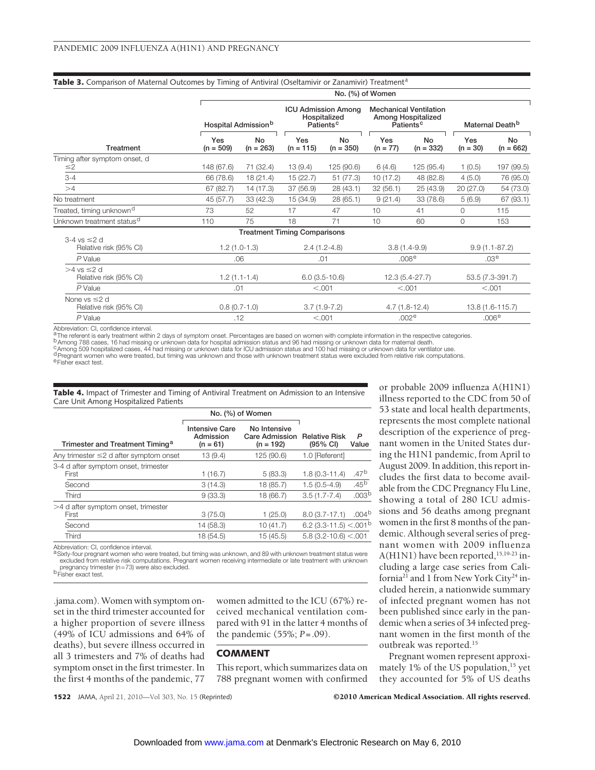|                                              |                    | Table 3. Comparison of Maternal Outcomes by Timing of Antiviral (Oseltamivir or Zanamivir) Treatment <sup>a</sup><br>No. (%) of Women |                                     |                                                                     |                   |                                                                              |                   |                             |  |
|----------------------------------------------|--------------------|---------------------------------------------------------------------------------------------------------------------------------------|-------------------------------------|---------------------------------------------------------------------|-------------------|------------------------------------------------------------------------------|-------------------|-----------------------------|--|
| Treatment                                    |                    | Hospital Admission <sup>b</sup>                                                                                                       |                                     | <b>ICU Admission Among</b><br>Hospitalized<br>Patients <sup>c</sup> |                   | <b>Mechanical Ventilation</b><br>Among Hospitalized<br>Patients <sup>c</sup> |                   | Maternal Death <sup>b</sup> |  |
|                                              | Yes<br>$(n = 509)$ | <b>No</b><br>$(n = 263)$                                                                                                              | Yes<br>$(n = 115)$                  | <b>No</b><br>$(n = 350)$                                            | Yes<br>$(n = 77)$ | <b>No</b><br>$(n = 332)$                                                     | Yes<br>$(n = 30)$ | No<br>$(n = 662)$           |  |
| Timing after symptom onset, d<br>$\leq$ 2    | 148 (67.6)         | 71 (32.4)                                                                                                                             | 13(9.4)                             | 125 (90.6)                                                          | 6(4.6)            | 125 (95.4)                                                                   | 1(0.5)            | 197 (99.5)                  |  |
| $3 - 4$                                      | 66 (78.6)          | 18 (21.4)                                                                                                                             | 15(22.7)                            | 51 (77.3)                                                           | 10(17.2)          | 48 (82.8)                                                                    | 4(5.0)            | 76 (95.0)                   |  |
| >4                                           | 67 (82.7)          | 14 (17.3)                                                                                                                             | 37 (56.9)                           | 28 (43.1)                                                           | 32(56.1)          | 25 (43.9)                                                                    | 20(27.0)          | 54 (73.0)                   |  |
| No treatment                                 | 45 (57.7)          | 33 (42.3)                                                                                                                             | 15 (34.9)                           | 28(65.1)                                                            | 9(21.4)           | 33 (78.6)                                                                    | 5(6.9)            | 67 (93.1)                   |  |
| Treated, timing unknown <sup>d</sup>         | 73                 | 52                                                                                                                                    | 17                                  | 47                                                                  | 10                | 41                                                                           | 0                 | 115                         |  |
| Unknown treatment status <sup>d</sup>        | 110                | 75                                                                                                                                    | 18                                  | 71                                                                  | 10                | 60                                                                           | $\mathbf{0}$      | 153                         |  |
|                                              |                    |                                                                                                                                       | <b>Treatment Timing Comparisons</b> |                                                                     |                   |                                                                              |                   |                             |  |
| $3-4$ vs $\leq$ d<br>Relative risk (95% CI)  |                    | $1.2(1.0-1.3)$                                                                                                                        |                                     | $2.4(1.2-4.8)$                                                      |                   | $3.8(1.4-9.9)$                                                               |                   | $9.9(1.1 - 87.2)$           |  |
| $P$ Value                                    |                    | .06                                                                                                                                   |                                     | .01                                                                 |                   | .008 <sup>e</sup>                                                            |                   | .03 <sup>e</sup>            |  |
| $>4$ vs $\leq$ 2 d<br>Relative risk (95% CI) |                    | $1.2(1.1-1.4)$                                                                                                                        |                                     | $6.0(3.5-10.6)$                                                     |                   | 12.3 (5.4-27.7)                                                              |                   | 53.5 (7.3-391.7)            |  |
| P Value                                      | .01                |                                                                                                                                       | < .001                              |                                                                     | < .001            |                                                                              | < 0.001           |                             |  |
| None vs $\leq$ 2 d<br>Relative risk (95% CI) |                    | $0.8(0.7-1.0)$                                                                                                                        |                                     | $3.7(1.9-7.2)$                                                      |                   | $4.7(1.8-12.4)$                                                              |                   | 13.8 (1.6-115.7)            |  |
| P Value                                      | .12                |                                                                                                                                       |                                     | < 0.001                                                             |                   | .002 <sup>e</sup>                                                            |                   | .006 <sup>e</sup>           |  |

Abbreviation: CI, confidence interval.<br>A The referent is early treatment within 2 days of symptom onset. Percentages are based on women with complete information in the respective categories. a The referent is early treatment within 2 days of symptom onset. Percentages are based on women with complete information in the respective categories.<br><sup>b</sup> Among 788 cases, 16 had missing or unknown data for hospital admi

dPregnant women who were treated, but timing was unknown and those with unknown treatment status were excluded from relative risk computations.

eFisher exact test.

|                                       | <b>Table 4.</b> Impact of Trimester and Timing of Antiviral Treatment on Admission to an Intensive |
|---------------------------------------|----------------------------------------------------------------------------------------------------|
| Care Unit Among Hospitalized Patients |                                                                                                    |

|                                               | No. (%) of Women                                 |                                                      |                                            |                   |
|-----------------------------------------------|--------------------------------------------------|------------------------------------------------------|--------------------------------------------|-------------------|
| Trimester and Treatment Timing <sup>a</sup>   | <b>Intensive Care</b><br>Admission<br>$(n = 61)$ | No Intensive<br><b>Care Admission</b><br>$(n = 192)$ | <b>Relative Risk</b><br>$(95% \text{ Cl})$ | P<br>Value        |
| Any trimester $\leq$ 2 d after symptom onset  | 13(9.4)                                          | 125 (90.6)                                           | 1.0 [Referent]                             |                   |
| 3-4 d after symptom onset, trimester<br>First | 1(16.7)                                          | 5(83.3)                                              | $1.8(0.3-11.4)$                            | .47 <sup>b</sup>  |
| Second                                        | 3(14.3)                                          | 18 (85.7)                                            | $1.5(0.5-4.9)$                             | $.45^{b}$         |
| Third                                         | 9(33.3)                                          | 18 (66.7)                                            | $3.5(1.7 - 7.4)$                           | .003 <sup>b</sup> |
| >4 d after symptom onset, trimester<br>First  | 3(75.0)                                          | 1(25.0)                                              | $8.0(3.7-17.1)$                            | .004 <sup>b</sup> |
| Second                                        | 14 (58.3)                                        | 10 (41.7)                                            | 6.2 (3.3-11.5) <.001 <sup>b</sup>          |                   |
| Third                                         | 18 (54.5)                                        | 15 (45.5)                                            | $5.8(3.2 - 10.6) < .001$                   |                   |

Abbreviation: CI, confidence interval.

aSixty-four pregnant women who were treated, but timing was unknown, and 89 with unknown treatment status were excluded from relative risk computations. Pregnant women receiving intermediate or late treatment with unknown<br>pregnancy trimester (n=73) were also excluded.<br><sup>D</sup>Fisher exact test.

.jama.com). Women with symptom onset in the third trimester accounted for a higher proportion of severe illness (49% of ICU admissions and 64% of deaths), but severe illness occurred in all 3 trimesters and 7% of deaths had symptom onset in the first trimester. In the first 4 months of the pandemic, 77

women admitted to the ICU (67%) received mechanical ventilation compared with 91 in the latter 4 months of the pandemic (55%; *P*=.09).

### **COMMENT**

This report, which summarizes data on 788 pregnant women with confirmed

illness reported to the CDC from 50 of 53 state and local health departments, represents the most complete national description of the experience of pregnant women in the United States during the H1N1 pandemic, from April to August 2009. In addition, this report includes the first data to become available from the CDC Pregnancy Flu Line, showing a total of 280 ICU admissions and 56 deaths among pregnant women in the first 8 months of the pandemic. Although several series of pregnant women with 2009 influenza A(H1N1) have been reported,<sup>15,19-23</sup> including a large case series from California<sup>21</sup> and 1 from New York City<sup>24</sup> included herein, a nationwide summary of infected pregnant women has not been published since early in the pandemic when a series of 34 infected pregnant women in the first month of the outbreak was reported.15

or probable 2009 influenza A(H1N1)

Pregnant women represent approximately 1% of the US population,<sup>15</sup> yet they accounted for 5% of US deaths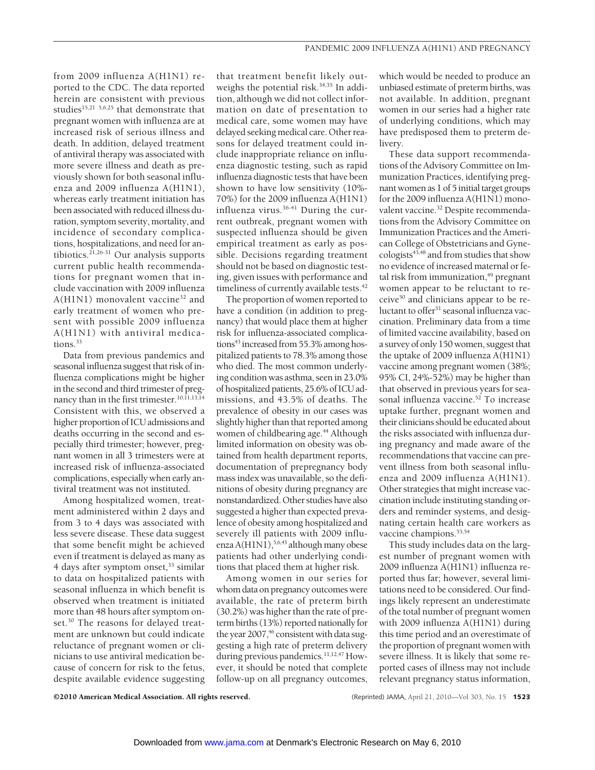from 2009 influenza A(H1N1) reported to the CDC. The data reported herein are consistent with previous studies<sup>15,21 5,6,25</sup> that demonstrate that pregnant women with influenza are at increased risk of serious illness and death. In addition, delayed treatment of antiviral therapy was associated with more severe illness and death as previously shown for both seasonal influenza and 2009 influenza A(H1N1), whereas early treatment initiation has been associated with reduced illness duration, symptom severity, mortality, and incidence of secondary complications, hospitalizations, and need for antibiotics.<sup>21,26-31</sup> Our analysis supports current public health recommendations for pregnant women that include vaccination with 2009 influenza A(H1N1) monovalent vaccine<sup>32</sup> and early treatment of women who present with possible 2009 influenza A(H1N1) with antiviral medications.<sup>33</sup>

Data from previous pandemics and seasonal influenza suggest that risk of influenza complications might be higher in the second and third trimester of pregnancy than in the first trimester.<sup>10,11,13,14</sup> Consistent with this, we observed a higher proportion of ICU admissions and deaths occurring in the second and especially third trimester; however, pregnant women in all 3 trimesters were at increased risk of influenza-associated complications, especially when early antiviral treatment was not instituted.

Among hospitalized women, treatment administered within 2 days and from 3 to 4 days was associated with less severe disease. These data suggest that some benefit might be achieved even if treatment is delayed as many as 4 days after symptom onset,<sup>33</sup> similar to data on hospitalized patients with seasonal influenza in which benefit is observed when treatment is initiated more than 48 hours after symptom onset.<sup>30</sup> The reasons for delayed treatment are unknown but could indicate reluctance of pregnant women or clinicians to use antiviral medication because of concern for risk to the fetus, despite available evidence suggesting that treatment benefit likely outweighs the potential risk. $34,35$  In addition, although we did not collect information on date of presentation to medical care, some women may have delayed seeking medical care. Other reasons for delayed treatment could include inappropriate reliance on influenza diagnostic testing, such as rapid influenza diagnostic tests that have been shown to have low sensitivity (10%- 70%) for the 2009 influenza A(H1N1) influenza virus.36-41 During the current outbreak, pregnant women with suspected influenza should be given empirical treatment as early as possible. Decisions regarding treatment should not be based on diagnostic testing, given issues with performance and timeliness of currently available tests.<sup>42</sup>

The proportion of women reported to have a condition (in addition to pregnancy) that would place them at higher risk for influenza-associated complications<sup>43</sup> increased from 55.3% among hospitalized patients to 78.3% among those who died. The most common underlying condition was asthma, seen in 23.0% of hospitalized patients, 25.6% of ICU admissions, and 43.5% of deaths. The prevalence of obesity in our cases was slightly higher than that reported among women of childbearing age.<sup>44</sup> Although limited information on obesity was obtained from health department reports, documentation of prepregnancy body mass index was unavailable, so the definitions of obesity during pregnancy are nonstandardized. Other studies have also suggested a higher than expected prevalence of obesity among hospitalized and severely ill patients with 2009 influenza A(H1N1),<sup>5,6,45</sup> although many obese patients had other underlying conditions that placed them at higher risk.

Among women in our series for whom data on pregnancy outcomes were available, the rate of preterm birth (30.2%) was higher than the rate of preterm births (13%) reported nationally for the year  $2007<sup>46</sup>$  consistent with data suggesting a high rate of preterm delivery during previous pandemics.<sup>11,12,47</sup> However, it should be noted that complete follow-up on all pregnancy outcomes,

which would be needed to produce an unbiased estimate of preterm births, was not available. In addition, pregnant women in our series had a higher rate of underlying conditions, which may have predisposed them to preterm delivery.

These data support recommendations of the Advisory Committee on Immunization Practices, identifying pregnant women as 1 of 5 initial target groups for the 2009 influenza A(H1N1) monovalent vaccine.<sup>32</sup> Despite recommendations from the Advisory Committee on Immunization Practices and the American College of Obstetricians and Gynecologists<sup>43,48</sup> and from studies that show no evidence of increased maternal or fetal risk from immunization, $49$  pregnant women appear to be reluctant to receive50 and clinicians appear to be reluctant to offer<sup>51</sup> seasonal influenza vaccination. Preliminary data from a time of limited vaccine availability, based on a survey of only 150 women, suggest that the uptake of 2009 influenza A(H1N1) vaccine among pregnant women (38%; 95% CI, 24%-52%) may be higher than that observed in previous years for seasonal influenza vaccine.<sup>52</sup> To increase uptake further, pregnant women and their clinicians should be educated about the risks associated with influenza during pregnancy and made aware of the recommendations that vaccine can prevent illness from both seasonal influenza and 2009 influenza A(H1N1). Other strategies that might increase vaccination include instituting standing orders and reminder systems, and designating certain health care workers as vaccine champions.<sup>53,54</sup>

This study includes data on the largest number of pregnant women with 2009 influenza A(H1N1) influenza reported thus far; however, several limitations need to be considered. Our findings likely represent an underestimate of the total number of pregnant women with 2009 influenza A(H1N1) during this time period and an overestimate of the proportion of pregnant women with severe illness. It is likely that some reported cases of illness may not include relevant pregnancy status information,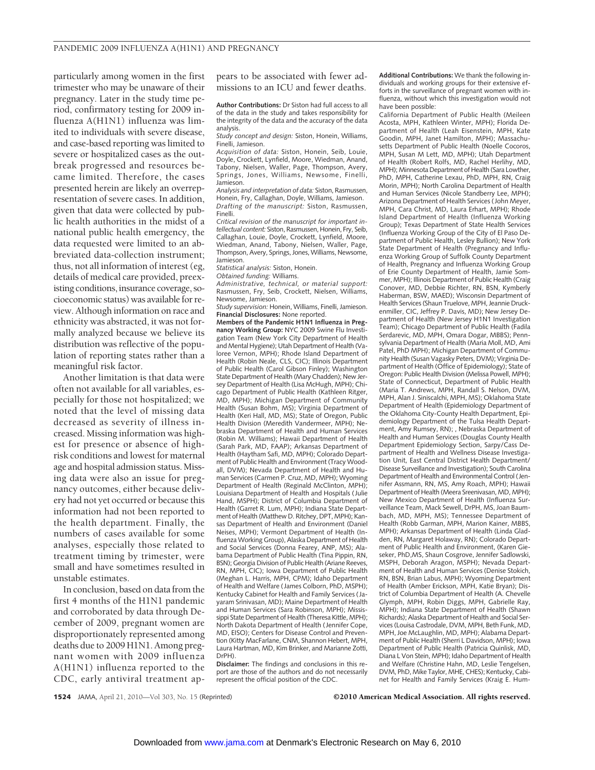particularly among women in the first trimester who may be unaware of their pregnancy. Later in the study time period, confirmatory testing for 2009 influenza A(H1N1) influenza was limited to individuals with severe disease, and case-based reporting was limited to severe or hospitalized cases as the outbreak progressed and resources became limited. Therefore, the cases presented herein are likely an overrepresentation of severe cases. In addition, given that data were collected by public health authorities in the midst of a national public health emergency, the data requested were limited to an abbreviated data-collection instrument; thus, not all information of interest (eg, details of medical care provided, preexisting conditions, insurance coverage, socioeconomic status) was available for review. Although information on race and ethnicity was abstracted, it was not formally analyzed because we believe its distribution was reflective of the population of reporting states rather than a meaningful risk factor.

Another limitation is that data were often not available for all variables, especially for those not hospitalized; we noted that the level of missing data decreased as severity of illness increased. Missing information was highest for presence or absence of highrisk conditions and lowest for maternal age and hospital admission status. Missing data were also an issue for pregnancy outcomes, either because delivery had not yet occurred or because this information had not been reported to the health department. Finally, the numbers of cases available for some analyses, especially those related to treatment timing by trimester, were small and have sometimes resulted in unstable estimates.

In conclusion, based on data from the first 4 months of the H1N1 pandemic and corroborated by data through December of 2009, pregnant women are disproportionately represented among deaths due to 2009 H1N1. Among pregnant women with 2009 influenza A(H1N1) influenza reported to the CDC, early antiviral treatment appears to be associated with fewer admissions to an ICU and fewer deaths.

**Author Contributions:** Dr Siston had full access to all of the data in the study and takes responsibility for the integrity of the data and the accuracy of the data analysis.

*Study concept and design:* Siston, Honein, Williams, Finelli, Jamieson.

*Acquisition of data:* Siston, Honein, Seib, Louie, Doyle, Crockett, Lynfield, Moore, Wiedman, Anand, Tabony, Nielsen, Waller, Page, Thompson, Avery, Springs, Jones, Williams, Newsome, Finelli, Jamieson.

*Analysis and interpretation of data:* Siston, Rasmussen, Honein, Fry, Callaghan, Doyle, Williams, Jamieson. *Drafting of the manuscript:* Siston, Rasmussen, Finelli.

*Critical revision of the manuscript for important intellectual content:* Siston, Rasmussen, Honein, Fry, Seib, Callaghan, Louie, Doyle, Crockett, Lynfield, Moore, Wiedman, Anand, Tabony, Nielsen, Waller, Page, Thompson, Avery, Springs, Jones, Williams, Newsome, Jamieson.

*Statistical analysis:* Siston, Honein.

*Obtained funding:* Williams.

*Administrative, technical, or material support:* Rasmussen, Fry, Seib, Crockett, Nielsen, Williams, Newsome, Jamieson.

*Study supervision:* Honein, Williams, Finelli, Jamieson. **Financial Disclosures:** None reported.

**Members of the Pandemic H1N1 Influenza in Pregnancy Working Group:** NYC 2009 Swine Flu Investigation Team (New York City Department of Health and Mental Hygiene); Utah Department of Health (Valoree Vernon, MPH); Rhode Island Department of Health (Robin Neale, CLS, CIC); Illinois Department of Public Health (Carol Gibson Finley); Washington State Department of Health (Mary Chadden); New Jersey Department of Health (Lisa McHugh, MPH); Chicago Department of Public Health (Kathleen Ritger, MD, MPH); Michigan Department of Community Health (Susan Bohm, MS); Virginia Department of Health (Keri Hall, MD, MS); State of Oregon, Public Health Division (Meredith Vandermeer, MPH); Nebraska Department of Health and Human Services (Robin M. Williams); Hawaii Department of Health (Sarah Park, MD, FAAP); Arkansas Department of Health (Haytham Safi, MD, MPH); Colorado Department of Public Health and Environment (Tracy Woodall, DVM); Nevada Department of Health and Human Services (Carmen P. Cruz, MD, MPH); Wyoming Department of Health (Reginald McClinton, MPH); Louisiana Department of Health and Hospitals ( Julie Hand, MSPH); District of Columbia Department of Health (Garret R. Lum, MPH); Indiana State Department of Health (Matthew D. Ritchey, DPT, MPH); Kansas Department of Health and Environment (Daniel Neises, MPH); Vermont Department of Health (Influenza Working Group), Alaska Department of Health and Social Services (Donna Fearey, ANP, MS); Alabama Department of Public Health (Tina Pippin, RN, BSN); Georgia Division of Public Health (Ariane Reeves, RN, MPH, CIC); Iowa Department of Public Health (Meghan L. Harris, MPH, CPM); Idaho Department of Health and Welfare ( James Colborn, PhD, MSPH); Kentucky Cabinet for Health and Family Services ( Jayaram Srinivasan, MD); Maine Department of Health and Human Services (Sara Robinson, MPH); Mississippi State Department of Health (Theresa Kittle, MPH); North Dakota Department of Health ( Jennifer Cope, MD, EISO); Centers for Disease Control and Prevention (Kitty MacFarlane, CNM, Shannon Hebert, MPH, Laura Hartman, MD, Kim Brinker, and Marianne Zotti, DrPH).

**Disclaimer:** The findings and conclusions in this report are those of the authors and do not necessarily represent the official position of the CDC.

**Additional Contributions:** We thank the following individuals and working groups for their extensive efforts in the surveillance of pregnant women with influenza, without which this investigation would not have been possible:

California Department of Public Health (Meileen Acosta, MPH, Kathleen Winter, MPH); Florida Department of Health (Leah Eisenstein, MPH, Kate Goodin, MPH, Janet Hamilton, MPH); Massachusetts Department of Public Health (Noelle Cocoros, MPH, Susan M Lett, MD, MPH); Utah Department of Health (Robert Rolfs, MD, Rachel Herlihy, MD, MPH); Minnesota Department of Health (Sara Lowther, PhD, MPH, Catherine Lexau, PhD, MPH, RN, Craig Morin, MPH); North Carolina Department of Health and Human Services (Nicole Standberry Lee, MPH); Arizona Department of Health Services ( John Meyer, MPH, Cara Christ, MD, Laura Erhart, MPH); Rhode Island Department of Health (Influenza Working Group); Texas Department of State Health Services (Influenza Working Group of the City of El Paso Department of Public Health, Lesley Bullion); New York State Department of Health (Pregnancy and Influenza Working Group of Suffolk County Department of Health, Pregnancy and Influenza Working Group of Erie County Department of Health, Jamie Sommer, MPH); Illinois Department of Public Health (Craig Conover, MD, Debbie Richter, RN, BSN, Kymberly Haberman, BSW, MAED); Wisconsin Department of Health Services (Shaun Truelove, MPH, Jeannie Druckenmiller, CIC, Jeffrey P. Davis, MD); New Jersey Department of Health (New Jersey H1N1 Investigation Team); Chicago Department of Public Health (Fadila Serdarevic, MD, MPH, Omara Dogar, MBBS); Pennsylvania Department of Health (Maria Moll, MD, Ami Patel, PhD MPH); Michigan Department of Community Health (Susan Vagasky Peters, DVM); Virginia Department of Health (Office of Epidemiology); State of Oregon: Public Health Division (Melissa Powell, MPH); State of Connecticut, Department of Public Health (Maria T. Andrews, MPH, Randall S. Nelson, DVM, MPH, Alan J. Siniscalchi, MPH, MS); Oklahoma State Department of Health (Epidemiology Department of the Oklahoma City-County Health Department, Epidemiology Department of the Tulsa Health Department, Amy Rumsey, RN); , Nebraska Department of Health and Human Services (Douglas County Health Department Epidemiology Section, Sarpy/Cass Department of Health and Wellness Disease Investigation Unit, East Central District Health Department/ Disease Surveillance and Investigation); South Carolina Department of Health and Environmental Control (Jennifer Assmann, RN, MS, Amy Roach, MPH); Hawaii Department of Health (Meera Sreenivasan, MD, MPH); New Mexico Department of Health (Influenza Surveillance Team, Mack Sewell, DrPH, MS, Joan Baumbach, MD, MPH, MS); Tennessee Department of Health (Robb Garman, MPH, Marion Kainer, MBBS, MPH); Arkansas Department of Health (Linda Gladden, RN, Margaret Holaway, RN); Colorado Department of Public Health and Environment, (Karen Gieseker, PhD,MS, Shaun Cosgrove, Jennifer Sadlowski, MSPH, Deborah Aragon, MSPH); Nevada Department of Health and Human Services (Denise Stokich, RN, BSN, Brian Labus, MPH); Wyoming Department of Health (Amber Erickson, MPH, Katie Bryan); District of Columbia Department of Health (A. Chevelle Glymph, MPH, Robin Diggs, MPH, Gabrielle Ray, MPH); Indiana State Department of Health (Shawn Richards); Alaska Department of Health and Social Services (Louisa Castrodale, DVM, MPH, Beth Funk, MD, MPH, Joe McLaughlin, MD, MPH); Alabama Department of Public Health (Sherri L Davidson, MPH); Iowa Department of Public Health (Patricia Quinlisk, MD, Diana L Von Stein, MPH); Idaho Department of Health and Welfare (Christine Hahn, MD, Leslie Tengelsen, DVM, PhD, Mike Taylor, MHE, CHES); Kentucky, Cabinet for Health and Family Services (Kraig E. Hum-